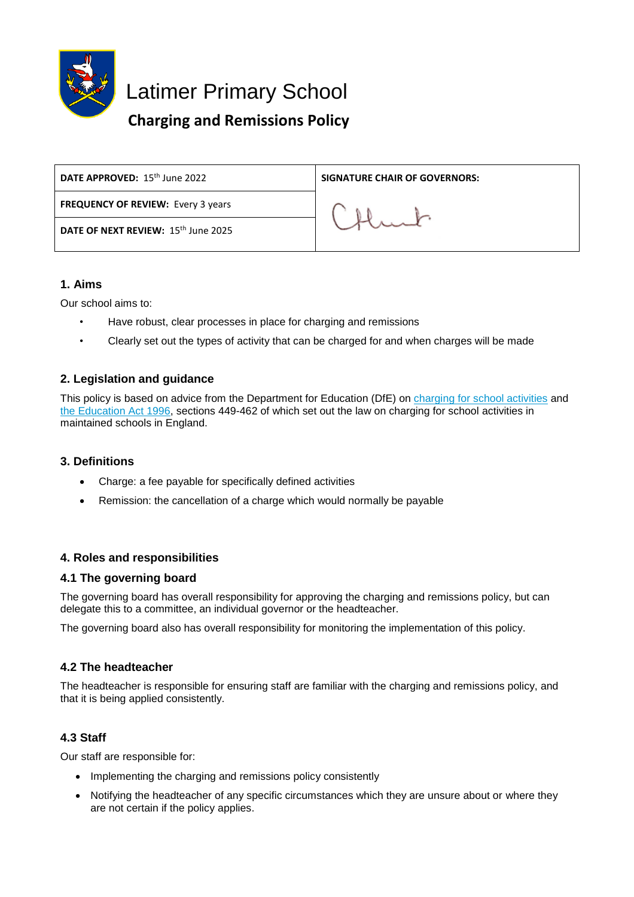

Latimer Primary School

# **Charging and Remissions Policy**

| DATE APPROVED: 15 <sup>th</sup> June 2022 | <b>SIGNATURE CHAIR OF GOVERNORS:</b> |
|-------------------------------------------|--------------------------------------|
| <b>FREQUENCY OF REVIEW: Every 3 years</b> |                                      |
| DATE OF NEXT REVIEW: 15th June 2025       |                                      |
|                                           |                                      |

# **1. Aims**

Our school aims to:

- Have robust, clear processes in place for charging and remissions
- Clearly set out the types of activity that can be charged for and when charges will be made

# **2. Legislation and guidance**

This policy is based on advice from the Department for Education (DfE) on [charging for school activities](https://www.gov.uk/government/publications/charging-for-school-activities) and [the Education Act 1996,](http://www.legislation.gov.uk/ukpga/1996/56/part/VI/chapter/III) sections 449-462 of which set out the law on charging for school activities in maintained schools in England.

# **3. Definitions**

- Charge: a fee payable for specifically defined activities
- Remission: the cancellation of a charge which would normally be payable

# **4. Roles and responsibilities**

# **4.1 The governing board**

The governing board has overall responsibility for approving the charging and remissions policy, but can delegate this to a committee, an individual governor or the headteacher.

The governing board also has overall responsibility for monitoring the implementation of this policy.

# **4.2 The headteacher**

The headteacher is responsible for ensuring staff are familiar with the charging and remissions policy, and that it is being applied consistently.

# **4.3 Staff**

Our staff are responsible for:

- Implementing the charging and remissions policy consistently
- Notifying the headteacher of any specific circumstances which they are unsure about or where they are not certain if the policy applies.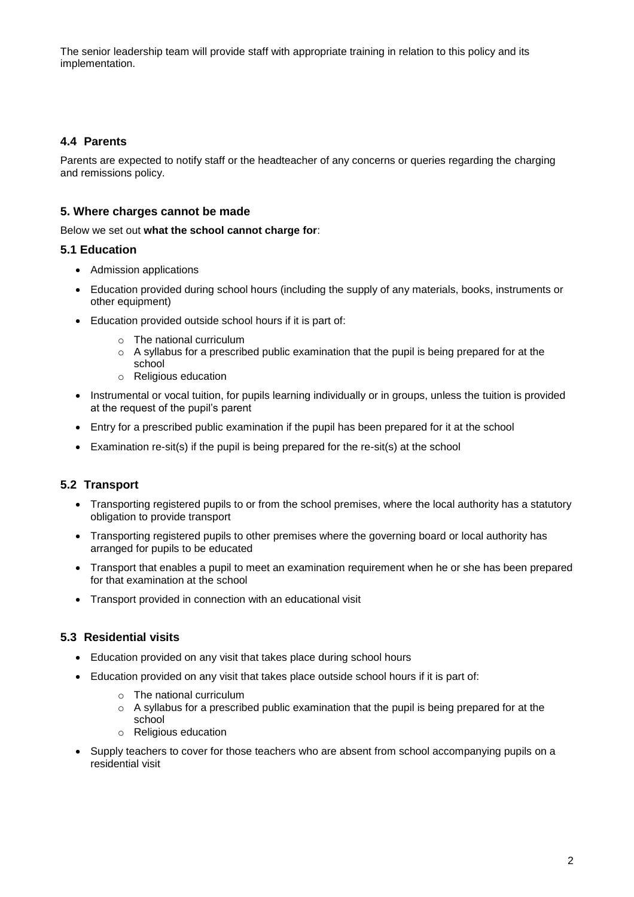The senior leadership team will provide staff with appropriate training in relation to this policy and its implementation.

# **4.4 Parents**

Parents are expected to notify staff or the headteacher of any concerns or queries regarding the charging and remissions policy.

## **5. Where charges cannot be made**

Below we set out **what the school cannot charge for**:

## **5.1 Education**

- Admission applications
- Education provided during school hours (including the supply of any materials, books, instruments or other equipment)
- Education provided outside school hours if it is part of:
	- o The national curriculum
	- $\circ$  A syllabus for a prescribed public examination that the pupil is being prepared for at the school
	- o Religious education
- Instrumental or vocal tuition, for pupils learning individually or in groups, unless the tuition is provided at the request of the pupil's parent
- Entry for a prescribed public examination if the pupil has been prepared for it at the school
- Examination re-sit(s) if the pupil is being prepared for the re-sit(s) at the school

# **5.2 Transport**

- Transporting registered pupils to or from the school premises, where the local authority has a statutory obligation to provide transport
- Transporting registered pupils to other premises where the governing board or local authority has arranged for pupils to be educated
- Transport that enables a pupil to meet an examination requirement when he or she has been prepared for that examination at the school
- Transport provided in connection with an educational visit

# **5.3 Residential visits**

- Education provided on any visit that takes place during school hours
- Education provided on any visit that takes place outside school hours if it is part of:
	- o The national curriculum
	- $\circ$  A syllabus for a prescribed public examination that the pupil is being prepared for at the school
	- o Religious education
- Supply teachers to cover for those teachers who are absent from school accompanying pupils on a residential visit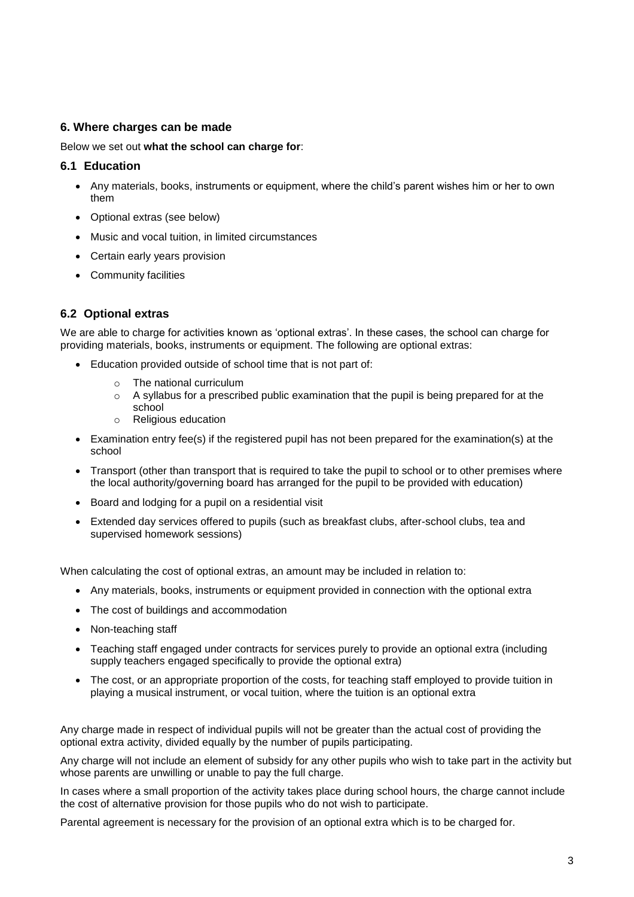## **6. Where charges can be made**

#### Below we set out **what the school can charge for**:

#### **6.1 Education**

- Any materials, books, instruments or equipment, where the child's parent wishes him or her to own them
- Optional extras (see below)
- Music and vocal tuition, in limited circumstances
- Certain early years provision
- Community facilities

#### **6.2 Optional extras**

We are able to charge for activities known as 'optional extras'. In these cases, the school can charge for providing materials, books, instruments or equipment. The following are optional extras:

- Education provided outside of school time that is not part of:
	- o The national curriculum
	- $\circ$  A syllabus for a prescribed public examination that the pupil is being prepared for at the school
	- o Religious education
- Examination entry fee(s) if the registered pupil has not been prepared for the examination(s) at the school
- Transport (other than transport that is required to take the pupil to school or to other premises where the local authority/governing board has arranged for the pupil to be provided with education)
- Board and lodging for a pupil on a residential visit
- Extended day services offered to pupils (such as breakfast clubs, after-school clubs, tea and supervised homework sessions)

When calculating the cost of optional extras, an amount may be included in relation to:

- Any materials, books, instruments or equipment provided in connection with the optional extra
- The cost of buildings and accommodation
- Non-teaching staff
- Teaching staff engaged under contracts for services purely to provide an optional extra (including supply teachers engaged specifically to provide the optional extra)
- The cost, or an appropriate proportion of the costs, for teaching staff employed to provide tuition in playing a musical instrument, or vocal tuition, where the tuition is an optional extra

Any charge made in respect of individual pupils will not be greater than the actual cost of providing the optional extra activity, divided equally by the number of pupils participating.

Any charge will not include an element of subsidy for any other pupils who wish to take part in the activity but whose parents are unwilling or unable to pay the full charge.

In cases where a small proportion of the activity takes place during school hours, the charge cannot include the cost of alternative provision for those pupils who do not wish to participate.

Parental agreement is necessary for the provision of an optional extra which is to be charged for.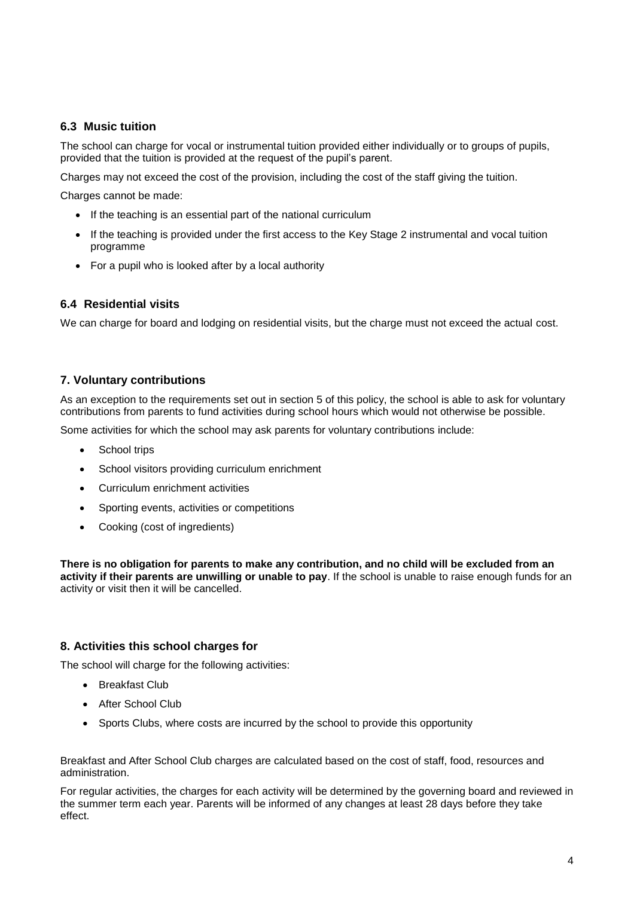## **6.3 Music tuition**

The school can charge for vocal or instrumental tuition provided either individually or to groups of pupils, provided that the tuition is provided at the request of the pupil's parent.

Charges may not exceed the cost of the provision, including the cost of the staff giving the tuition.

Charges cannot be made:

- If the teaching is an essential part of the national curriculum
- If the teaching is provided under the first access to the Key Stage 2 instrumental and vocal tuition programme
- For a pupil who is looked after by a local authority

## **6.4 Residential visits**

We can charge for board and lodging on residential visits, but the charge must not exceed the actual cost.

## **7. Voluntary contributions**

As an exception to the requirements set out in section 5 of this policy, the school is able to ask for voluntary contributions from parents to fund activities during school hours which would not otherwise be possible.

Some activities for which the school may ask parents for voluntary contributions include:

- School trips
- School visitors providing curriculum enrichment
- Curriculum enrichment activities
- Sporting events, activities or competitions
- Cooking (cost of ingredients)

**There is no obligation for parents to make any contribution, and no child will be excluded from an activity if their parents are unwilling or unable to pay**. If the school is unable to raise enough funds for an activity or visit then it will be cancelled.

#### **8. Activities this school charges for**

The school will charge for the following activities:

- Breakfast Club
- After School Club
- Sports Clubs, where costs are incurred by the school to provide this opportunity

Breakfast and After School Club charges are calculated based on the cost of staff, food, resources and administration.

For regular activities, the charges for each activity will be determined by the governing board and reviewed in the summer term each year. Parents will be informed of any changes at least 28 days before they take effect.